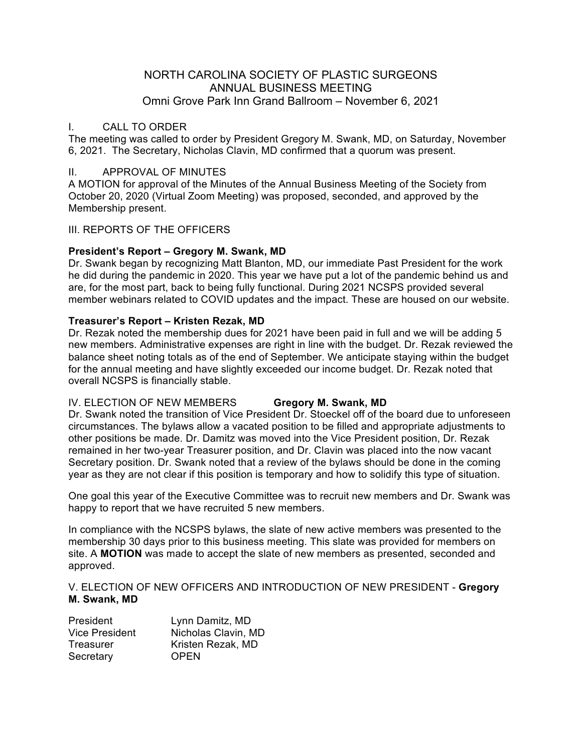# NORTH CAROLINA SOCIETY OF PLASTIC SURGEONS ANNUAL BUSINESS MEETING Omni Grove Park Inn Grand Ballroom – November 6, 2021

# I. CALL TO ORDER

The meeting was called to order by President Gregory M. Swank, MD, on Saturday, November 6, 2021. The Secretary, Nicholas Clavin, MD confirmed that a quorum was present.

# II. APPROVAL OF MINUTES

A MOTION for approval of the Minutes of the Annual Business Meeting of the Society from October 20, 2020 (Virtual Zoom Meeting) was proposed, seconded, and approved by the Membership present.

## III. REPORTS OF THE OFFICERS

## **President's Report – Gregory M. Swank, MD**

Dr. Swank began by recognizing Matt Blanton, MD, our immediate Past President for the work he did during the pandemic in 2020. This year we have put a lot of the pandemic behind us and are, for the most part, back to being fully functional. During 2021 NCSPS provided several member webinars related to COVID updates and the impact. These are housed on our website.

## **Treasurer's Report – Kristen Rezak, MD**

Dr. Rezak noted the membership dues for 2021 have been paid in full and we will be adding 5 new members. Administrative expenses are right in line with the budget. Dr. Rezak reviewed the balance sheet noting totals as of the end of September. We anticipate staying within the budget for the annual meeting and have slightly exceeded our income budget. Dr. Rezak noted that overall NCSPS is financially stable.

# IV. ELECTION OF NEW MEMBERS **Gregory M. Swank, MD**

Dr. Swank noted the transition of Vice President Dr. Stoeckel off of the board due to unforeseen circumstances. The bylaws allow a vacated position to be filled and appropriate adjustments to other positions be made. Dr. Damitz was moved into the Vice President position, Dr. Rezak remained in her two-year Treasurer position, and Dr. Clavin was placed into the now vacant Secretary position. Dr. Swank noted that a review of the bylaws should be done in the coming year as they are not clear if this position is temporary and how to solidify this type of situation.

One goal this year of the Executive Committee was to recruit new members and Dr. Swank was happy to report that we have recruited 5 new members.

In compliance with the NCSPS bylaws, the slate of new active members was presented to the membership 30 days prior to this business meeting. This slate was provided for members on site. A **MOTION** was made to accept the slate of new members as presented, seconded and approved.

#### V. ELECTION OF NEW OFFICERS AND INTRODUCTION OF NEW PRESIDENT - **Gregory M. Swank, MD**

| <b>President</b>      | Lynn Damitz, MD     |
|-----------------------|---------------------|
| <b>Vice President</b> | Nicholas Clavin, MD |
| Treasurer             | Kristen Rezak, MD   |
| Secretary             | <b>OPEN</b>         |